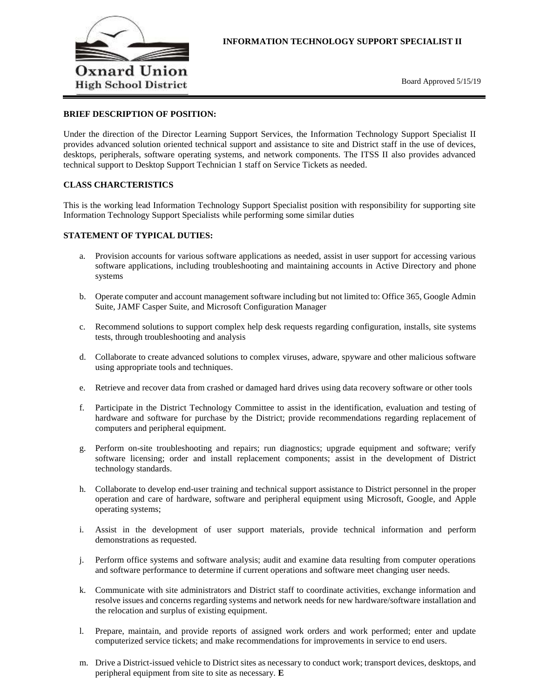

## **BRIEF DESCRIPTION OF POSITION:**

Under the direction of the Director Learning Support Services, the Information Technology Support Specialist II provides advanced solution oriented technical support and assistance to site and District staff in the use of devices, desktops, peripherals, software operating systems, and network components. The ITSS II also provides advanced technical support to Desktop Support Technician 1 staff on Service Tickets as needed.

#### **CLASS CHARCTERISTICS**

This is the working lead Information Technology Support Specialist position with responsibility for supporting site Information Technology Support Specialists while performing some similar duties

#### **STATEMENT OF TYPICAL DUTIES:**

- a. Provision accounts for various software applications as needed, assist in user support for accessing various software applications, including troubleshooting and maintaining accounts in Active Directory and phone systems
- b. Operate computer and account management software including but not limited to: Office 365, Google Admin Suite, JAMF Casper Suite, and Microsoft Configuration Manager
- c. Recommend solutions to support complex help desk requests regarding configuration, installs, site systems tests, through troubleshooting and analysis
- d. Collaborate to create advanced solutions to complex viruses, adware, spyware and other malicious software using appropriate tools and techniques.
- e. Retrieve and recover data from crashed or damaged hard drives using data recovery software or other tools
- f. Participate in the District Technology Committee to assist in the identification, evaluation and testing of hardware and software for purchase by the District; provide recommendations regarding replacement of computers and peripheral equipment.
- g. Perform on-site troubleshooting and repairs; run diagnostics; upgrade equipment and software; verify software licensing; order and install replacement components; assist in the development of District technology standards.
- h. Collaborate to develop end-user training and technical support assistance to District personnel in the proper operation and care of hardware, software and peripheral equipment using Microsoft, Google, and Apple operating systems;
- i. Assist in the development of user support materials, provide technical information and perform demonstrations as requested.
- j. Perform office systems and software analysis; audit and examine data resulting from computer operations and software performance to determine if current operations and software meet changing user needs.
- k. Communicate with site administrators and District staff to coordinate activities, exchange information and resolve issues and concerns regarding systems and network needs for new hardware/software installation and the relocation and surplus of existing equipment.
- l. Prepare, maintain, and provide reports of assigned work orders and work performed; enter and update computerized service tickets; and make recommendations for improvements in service to end users.
- m. Drive a District-issued vehicle to District sites as necessary to conduct work; transport devices, desktops, and peripheral equipment from site to site as necessary. **E**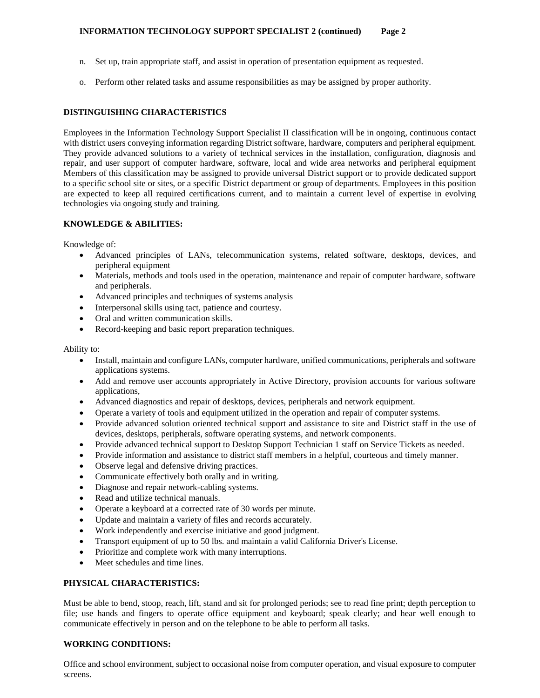- n. Set up, train appropriate staff, and assist in operation of presentation equipment as requested.
- o. Perform other related tasks and assume responsibilities as may be assigned by proper authority.

# **DISTINGUISHING CHARACTERISTICS**

Employees in the Information Technology Support Specialist II classification will be in ongoing, continuous contact with district users conveying information regarding District software, hardware, computers and peripheral equipment. They provide advanced solutions to a variety of technical services in the installation, configuration, diagnosis and repair, and user support of computer hardware, software, local and wide area networks and peripheral equipment Members of this classification may be assigned to provide universal District support or to provide dedicated support to a specific school site or sites, or a specific District department or group of departments. Employees in this position are expected to keep all required certifications current, and to maintain a current level of expertise in evolving technologies via ongoing study and training.

## **KNOWLEDGE & ABILITIES:**

Knowledge of:

- Advanced principles of LANs, telecommunication systems, related software, desktops, devices, and peripheral equipment
- Materials, methods and tools used in the operation, maintenance and repair of computer hardware, software and peripherals.
- Advanced principles and techniques of systems analysis
- Interpersonal skills using tact, patience and courtesy.
- Oral and written communication skills.
- Record-keeping and basic report preparation techniques.

Ability to:

- Install, maintain and configure LANs, computer hardware, unified communications, peripherals and software applications systems.
- Add and remove user accounts appropriately in Active Directory, provision accounts for various software applications,
- Advanced diagnostics and repair of desktops, devices, peripherals and network equipment.
- Operate a variety of tools and equipment utilized in the operation and repair of computer systems.
- Provide advanced solution oriented technical support and assistance to site and District staff in the use of devices, desktops, peripherals, software operating systems, and network components.
- Provide advanced technical support to Desktop Support Technician 1 staff on Service Tickets as needed.
- Provide information and assistance to district staff members in a helpful, courteous and timely manner.
- Observe legal and defensive driving practices.
- Communicate effectively both orally and in writing.
- Diagnose and repair network-cabling systems.
- Read and utilize technical manuals.
- Operate a keyboard at a corrected rate of 30 words per minute.
- Update and maintain a variety of files and records accurately.
- Work independently and exercise initiative and good judgment.
- Transport equipment of up to 50 lbs. and maintain a valid California Driver's License.
- Prioritize and complete work with many interruptions.
- Meet schedules and time lines.

# **PHYSICAL CHARACTERISTICS:**

Must be able to bend, stoop, reach, lift, stand and sit for prolonged periods; see to read fine print; depth perception to file; use hands and fingers to operate office equipment and keyboard; speak clearly; and hear well enough to communicate effectively in person and on the telephone to be able to perform all tasks.

## **WORKING CONDITIONS:**

Office and school environment, subject to occasional noise from computer operation, and visual exposure to computer screens.